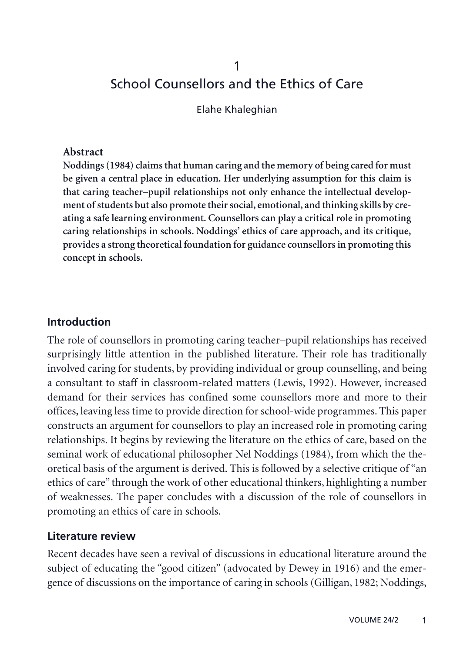# 1 School Counsellors and the Ethics of Care

Elahe Khaleghian

#### **Abstract**

**Noddings (1984) claims that human caring and the memory of being cared for must be given a central place in education. Her underlying assumption for this claim is that caring teacher–pupil relationships not only enhance the intellectual development of students but also promote their social, emotional, and thinking skills by creating a safe learning environment. Counsellors can play a critical role in promoting caring relationships in schools. Noddings' ethics of care approach, and its critique, provides a strong theoretical foundation for guidance counsellors in promoting this concept in schools.**

#### **Introduction**

The role of counsellors in promoting caring teacher–pupil relationships has received surprisingly little attention in the published literature. Their role has traditionally involved caring for students, by providing individual or group counselling, and being a consultant to staff in classroom-related matters (Lewis, 1992). However, increased demand for their services has confined some counsellors more and more to their offices, leaving less time to provide direction for school-wide programmes. This paper constructs an argument for counsellors to play an increased role in promoting caring relationships. It begins by reviewing the literature on the ethics of care, based on the seminal work of educational philosopher Nel Noddings (1984), from which the theoretical basis of the argument is derived. This is followed by a selective critique of "an ethics of care" through the work of other educational thinkers, highlighting a number of weaknesses. The paper concludes with a discussion of the role of counsellors in promoting an ethics of care in schools.

#### **Literature review**

Recent decades have seen a revival of discussions in educational literature around the subject of educating the "good citizen" (advocated by Dewey in 1916) and the emergence of discussions on the importance of caring in schools (Gilligan, 1982; Noddings,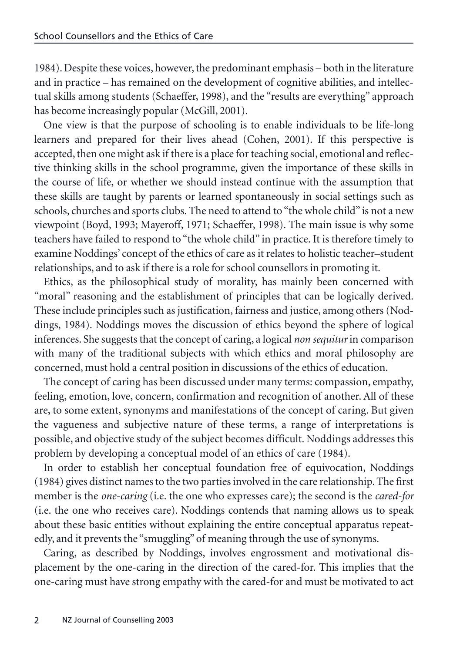1984). Despite these voices, however, the predominant emphasis – both in the literature and in practice – has remained on the development of cognitive abilities, and intellectual skills among students (Schaeffer, 1998), and the "results are everything" approach has become increasingly popular (McGill, 2001).

One view is that the purpose of schooling is to enable individuals to be life-long learners and prepared for their lives ahead (Cohen, 2001). If this perspective is accepted, then one might ask if there is a place for teaching social, emotional and reflective thinking skills in the school programme, given the importance of these skills in the course of life, or whether we should instead continue with the assumption that these skills are taught by parents or learned spontaneously in social settings such as schools, churches and sports clubs. The need to attend to "the whole child" is not a new viewpoint (Boyd, 1993; Mayeroff, 1971; Schaeffer, 1998). The main issue is why some teachers have failed to respond to "the whole child" in practice. It is therefore timely to examine Noddings' concept of the ethics of care as it relates to holistic teacher–student relationships, and to ask if there is a role for school counsellors in promoting it.

Ethics, as the philosophical study of morality, has mainly been concerned with "moral" reasoning and the establishment of principles that can be logically derived. These include principles such as justification, fairness and justice, among others (Noddings, 1984). Noddings moves the discussion of ethics beyond the sphere of logical inferences. She suggests that the concept of caring, a logical *non sequitur* in comparison with many of the traditional subjects with which ethics and moral philosophy are concerned, must hold a central position in discussions of the ethics of education.

The concept of caring has been discussed under many terms: compassion, empathy, feeling, emotion, love, concern, confirmation and recognition of another. All of these are, to some extent, synonyms and manifestations of the concept of caring. But given the vagueness and subjective nature of these terms, a range of interpretations is possible, and objective study of the subject becomes difficult. Noddings addresses this problem by developing a conceptual model of an ethics of care (1984).

In order to establish her conceptual foundation free of equivocation, Noddings (1984) gives distinct names to the two parties involved in the care relationship. The first member is the *one-caring* (i.e. the one who expresses care); the second is the *cared-for* (i.e. the one who receives care). Noddings contends that naming allows us to speak about these basic entities without explaining the entire conceptual apparatus repeatedly, and it prevents the "smuggling" of meaning through the use of synonyms.

Caring, as described by Noddings, involves engrossment and motivational displacement by the one-caring in the direction of the cared-for. This implies that the one-caring must have strong empathy with the cared-for and must be motivated to act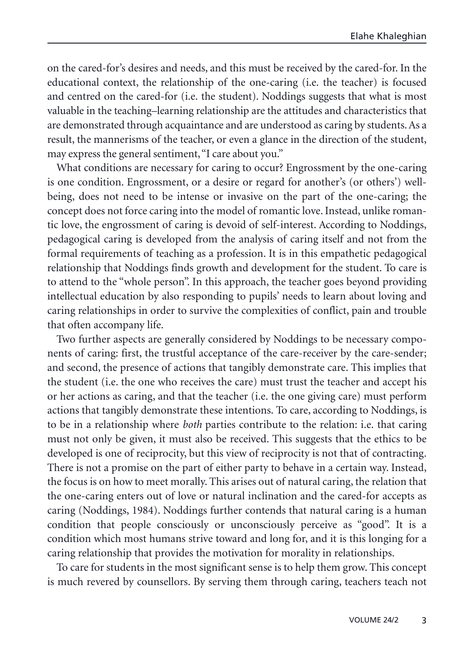on the cared-for's desires and needs, and this must be received by the cared-for. In the educational context, the relationship of the one-caring (i.e. the teacher) is focused and centred on the cared-for (i.e. the student). Noddings suggests that what is most valuable in the teaching–learning relationship are the attitudes and characteristics that are demonstrated through acquaintance and are understood as caring by students. As a result, the mannerisms of the teacher, or even a glance in the direction of the student, may express the general sentiment,"I care about you."

What conditions are necessary for caring to occur? Engrossment by the one-caring is one condition. Engrossment, or a desire or regard for another's (or others') wellbeing, does not need to be intense or invasive on the part of the one-caring; the concept does not force caring into the model of romantic love. Instead, unlike romantic love, the engrossment of caring is devoid of self-interest. According to Noddings, pedagogical caring is developed from the analysis of caring itself and not from the formal requirements of teaching as a profession. It is in this empathetic pedagogical relationship that Noddings finds growth and development for the student. To care is to attend to the "whole person". In this approach, the teacher goes beyond providing intellectual education by also responding to pupils' needs to learn about loving and caring relationships in order to survive the complexities of conflict, pain and trouble that often accompany life.

Two further aspects are generally considered by Noddings to be necessary components of caring: first, the trustful acceptance of the care-receiver by the care-sender; and second, the presence of actions that tangibly demonstrate care. This implies that the student (i.e. the one who receives the care) must trust the teacher and accept his or her actions as caring, and that the teacher (i.e. the one giving care) must perform actions that tangibly demonstrate these intentions. To care, according to Noddings, is to be in a relationship where *both* parties contribute to the relation: i.e. that caring must not only be given, it must also be received. This suggests that the ethics to be developed is one of reciprocity, but this view of reciprocity is not that of contracting. There is not a promise on the part of either party to behave in a certain way. Instead, the focus is on how to meet morally. This arises out of natural caring, the relation that the one-caring enters out of love or natural inclination and the cared-for accepts as caring (Noddings, 1984). Noddings further contends that natural caring is a human condition that people consciously or unconsciously perceive as "good". It is a condition which most humans strive toward and long for, and it is this longing for a caring relationship that provides the motivation for morality in relationships.

To care for students in the most significant sense is to help them grow. This concept is much revered by counsellors. By serving them through caring, teachers teach not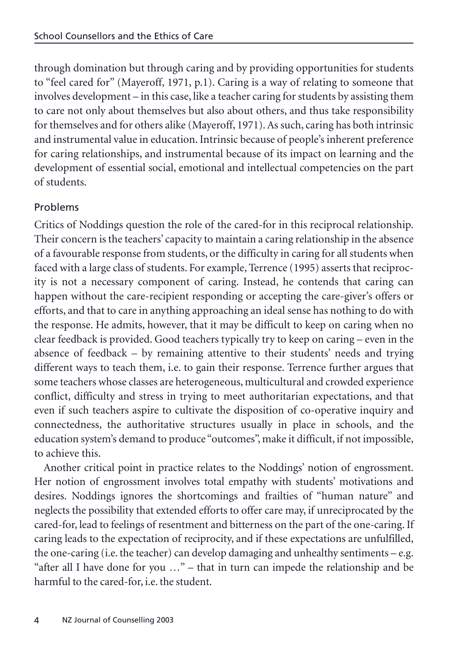through domination but through caring and by providing opportunities for students to "feel cared for" (Mayeroff, 1971, p.1). Caring is a way of relating to someone that involves development – in this case, like a teacher caring for students by assisting them to care not only about themselves but also about others, and thus take responsibility for themselves and for others alike (Mayeroff, 1971). As such, caring has both intrinsic and instrumental value in education. Intrinsic because of people's inherent preference for caring relationships, and instrumental because of its impact on learning and the development of essential social, emotional and intellectual competencies on the part of students.

## Problems

Critics of Noddings question the role of the cared-for in this reciprocal relationship. Their concern is the teachers' capacity to maintain a caring relationship in the absence of a favourable response from students, or the difficulty in caring for all students when faced with a large class of students. For example, Terrence (1995) asserts that reciprocity is not a necessary component of caring. Instead, he contends that caring can happen without the care-recipient responding or accepting the care-giver's offers or efforts, and that to care in anything approaching an ideal sense has nothing to do with the response. He admits, however, that it may be difficult to keep on caring when no clear feedback is provided. Good teachers typically try to keep on caring – even in the absence of feedback – by remaining attentive to their students' needs and trying different ways to teach them, i.e. to gain their response. Terrence further argues that some teachers whose classes are heterogeneous, multicultural and crowded experience conflict, difficulty and stress in trying to meet authoritarian expectations, and that even if such teachers aspire to cultivate the disposition of co-operative inquiry and connectedness, the authoritative structures usually in place in schools, and the education system's demand to produce "outcomes", make it difficult, if not impossible, to achieve this.

Another critical point in practice relates to the Noddings' notion of engrossment. Her notion of engrossment involves total empathy with students' motivations and desires. Noddings ignores the shortcomings and frailties of "human nature" and neglects the possibility that extended efforts to offer care may, if unreciprocated by the cared-for, lead to feelings of resentment and bitterness on the part of the one-caring. If caring leads to the expectation of reciprocity, and if these expectations are unfulfilled, the one-caring (i.e. the teacher) can develop damaging and unhealthy sentiments – e.g. "after all I have done for you …" – that in turn can impede the relationship and be harmful to the cared-for, i.e. the student.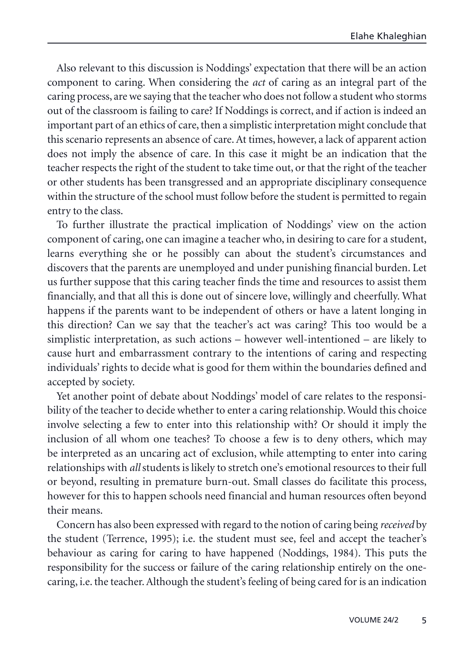Also relevant to this discussion is Noddings' expectation that there will be an action component to caring. When considering the *act* of caring as an integral part of the caring process, are we saying that the teacher who does not follow a student who storms out of the classroom is failing to care? If Noddings is correct, and if action is indeed an important part of an ethics of care, then a simplistic interpretation might conclude that this scenario represents an absence of care. At times, however, a lack of apparent action does not imply the absence of care. In this case it might be an indication that the teacher respects the right of the student to take time out, or that the right of the teacher or other students has been transgressed and an appropriate disciplinary consequence within the structure of the school must follow before the student is permitted to regain entry to the class.

To further illustrate the practical implication of Noddings' view on the action component of caring, one can imagine a teacher who, in desiring to care for a student, learns everything she or he possibly can about the student's circumstances and discovers that the parents are unemployed and under punishing financial burden. Let us further suppose that this caring teacher finds the time and resources to assist them financially, and that all this is done out of sincere love, willingly and cheerfully. What happens if the parents want to be independent of others or have a latent longing in this direction? Can we say that the teacher's act was caring? This too would be a simplistic interpretation, as such actions – however well-intentioned – are likely to cause hurt and embarrassment contrary to the intentions of caring and respecting individuals' rights to decide what is good for them within the boundaries defined and accepted by society.

Yet another point of debate about Noddings' model of care relates to the responsibility of the teacher to decide whether to enter a caring relationship. Would this choice involve selecting a few to enter into this relationship with? Or should it imply the inclusion of all whom one teaches? To choose a few is to deny others, which may be interpreted as an uncaring act of exclusion, while attempting to enter into caring relationships with *all* students is likely to stretch one's emotional resources to their full or beyond, resulting in premature burn-out. Small classes do facilitate this process, however for this to happen schools need financial and human resources often beyond their means.

Concern has also been expressed with regard to the notion of caring being *received* by the student (Terrence, 1995); i.e. the student must see, feel and accept the teacher's behaviour as caring for caring to have happened (Noddings, 1984). This puts the responsibility for the success or failure of the caring relationship entirely on the onecaring, i.e. the teacher. Although the student's feeling of being cared for is an indication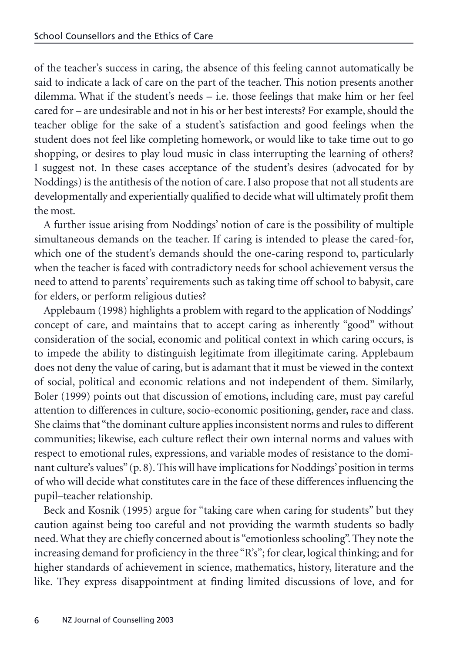of the teacher's success in caring, the absence of this feeling cannot automatically be said to indicate a lack of care on the part of the teacher. This notion presents another dilemma. What if the student's needs – i.e. those feelings that make him or her feel cared for – are undesirable and not in his or her best interests? For example, should the teacher oblige for the sake of a student's satisfaction and good feelings when the student does not feel like completing homework, or would like to take time out to go shopping, or desires to play loud music in class interrupting the learning of others? I suggest not. In these cases acceptance of the student's desires (advocated for by Noddings) is the antithesis of the notion of care. I also propose that not all students are developmentally and experientially qualified to decide what will ultimately profit them the most.

A further issue arising from Noddings' notion of care is the possibility of multiple simultaneous demands on the teacher. If caring is intended to please the cared-for, which one of the student's demands should the one-caring respond to, particularly when the teacher is faced with contradictory needs for school achievement versus the need to attend to parents' requirements such as taking time off school to babysit, care for elders, or perform religious duties?

Applebaum (1998) highlights a problem with regard to the application of Noddings' concept of care, and maintains that to accept caring as inherently "good" without consideration of the social, economic and political context in which caring occurs, is to impede the ability to distinguish legitimate from illegitimate caring. Applebaum does not deny the value of caring, but is adamant that it must be viewed in the context of social, political and economic relations and not independent of them. Similarly, Boler (1999) points out that discussion of emotions, including care, must pay careful attention to differences in culture, socio-economic positioning, gender, race and class. She claims that "the dominant culture applies inconsistent norms and rules to different communities; likewise, each culture reflect their own internal norms and values with respect to emotional rules, expressions, and variable modes of resistance to the dominant culture's values"(p. 8). This will have implications for Noddings' position in terms of who will decide what constitutes care in the face of these differences influencing the pupil–teacher relationship.

Beck and Kosnik (1995) argue for "taking care when caring for students" but they caution against being too careful and not providing the warmth students so badly need. What they are chiefly concerned about is "emotionless schooling". They note the increasing demand for proficiency in the three "R's"; for clear, logical thinking; and for higher standards of achievement in science, mathematics, history, literature and the like. They express disappointment at finding limited discussions of love, and for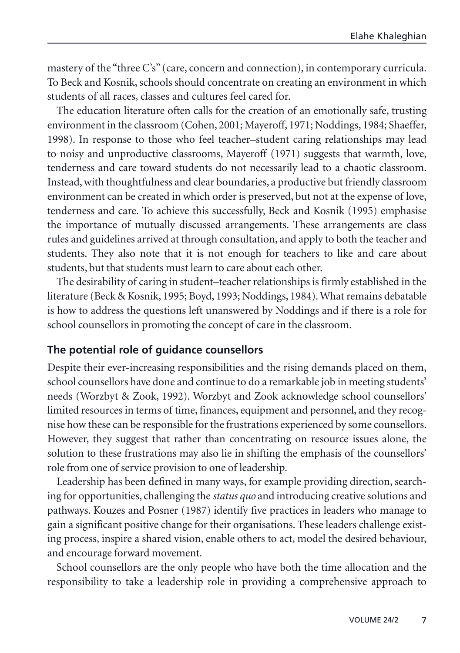mastery of the "three C's" (care, concern and connection), in contemporary curricula. To Beck and Kosnik, schools should concentrate on creating an environment in which students of all races, classes and cultures feel cared for.

The education literature often calls for the creation of an emotionally safe, trusting environment in the classroom (Cohen, 2001; Mayeroff, 1971; Noddings, 1984; Shaeffer, 1998). In response to those who feel teacher–student caring relationships may lead to noisy and unproductive classrooms, Mayeroff (1971) suggests that warmth, love, tenderness and care toward students do not necessarily lead to a chaotic classroom. Instead, with thoughtfulness and clear boundaries, a productive but friendly classroom environment can be created in which order is preserved, but not at the expense of love, tenderness and care. To achieve this successfully, Beck and Kosnik (1995) emphasise the importance of mutually discussed arrangements. These arrangements are class rules and guidelines arrived at through consultation, and apply to both the teacher and students. They also note that it is not enough for teachers to like and care about students, but that students must learn to care about each other.

The desirability of caring in student–teacher relationships is firmly established in the literature (Beck & Kosnik, 1995; Boyd, 1993; Noddings, 1984). What remains debatable is how to address the questions left unanswered by Noddings and if there is a role for school counsellors in promoting the concept of care in the classroom.

### **The potential role of guidance counsellors**

Despite their ever-increasing responsibilities and the rising demands placed on them, school counsellors have done and continue to do a remarkable job in meeting students' needs (Worzbyt & Zook, 1992). Worzbyt and Zook acknowledge school counsellors' limited resources in terms of time, finances, equipment and personnel, and they recognise how these can be responsible for the frustrations experienced by some counsellors. However, they suggest that rather than concentrating on resource issues alone, the solution to these frustrations may also lie in shifting the emphasis of the counsellors' role from one of service provision to one of leadership.

Leadership has been defined in many ways, for example providing direction, searching for opportunities, challenging the *status quo* and introducing creative solutions and pathways. Kouzes and Posner (1987) identify five practices in leaders who manage to gain a significant positive change for their organisations. These leaders challenge existing process, inspire a shared vision, enable others to act, model the desired behaviour, and encourage forward movement.

School counsellors are the only people who have both the time allocation and the responsibility to take a leadership role in providing a comprehensive approach to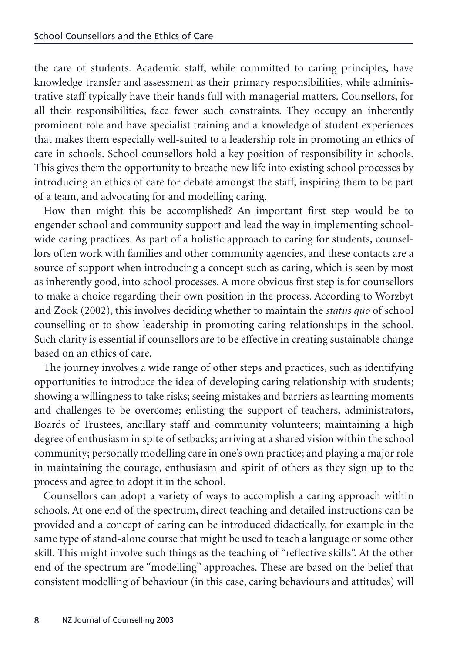the care of students. Academic staff, while committed to caring principles, have knowledge transfer and assessment as their primary responsibilities, while administrative staff typically have their hands full with managerial matters. Counsellors, for all their responsibilities, face fewer such constraints. They occupy an inherently prominent role and have specialist training and a knowledge of student experiences that makes them especially well-suited to a leadership role in promoting an ethics of care in schools. School counsellors hold a key position of responsibility in schools. This gives them the opportunity to breathe new life into existing school processes by introducing an ethics of care for debate amongst the staff, inspiring them to be part of a team, and advocating for and modelling caring.

How then might this be accomplished? An important first step would be to engender school and community support and lead the way in implementing schoolwide caring practices. As part of a holistic approach to caring for students, counsellors often work with families and other community agencies, and these contacts are a source of support when introducing a concept such as caring, which is seen by most as inherently good, into school processes. A more obvious first step is for counsellors to make a choice regarding their own position in the process. According to Worzbyt and Zook (2002), this involves deciding whether to maintain the *status quo* of school counselling or to show leadership in promoting caring relationships in the school. Such clarity is essential if counsellors are to be effective in creating sustainable change based on an ethics of care.

The journey involves a wide range of other steps and practices, such as identifying opportunities to introduce the idea of developing caring relationship with students; showing a willingness to take risks; seeing mistakes and barriers as learning moments and challenges to be overcome; enlisting the support of teachers, administrators, Boards of Trustees, ancillary staff and community volunteers; maintaining a high degree of enthusiasm in spite of setbacks; arriving at a shared vision within the school community; personally modelling care in one's own practice; and playing a major role in maintaining the courage, enthusiasm and spirit of others as they sign up to the process and agree to adopt it in the school.

Counsellors can adopt a variety of ways to accomplish a caring approach within schools. At one end of the spectrum, direct teaching and detailed instructions can be provided and a concept of caring can be introduced didactically, for example in the same type of stand-alone course that might be used to teach a language or some other skill. This might involve such things as the teaching of "reflective skills". At the other end of the spectrum are "modelling" approaches. These are based on the belief that consistent modelling of behaviour (in this case, caring behaviours and attitudes) will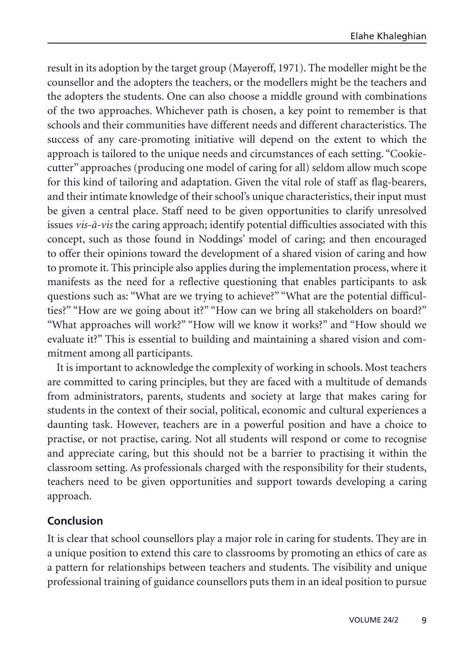result in its adoption by the target group (Mayeroff, 1971). The modeller might be the counsellor and the adopters the teachers, or the modellers might be the teachers and the adopters the students. One can also choose a middle ground with combinations of the two approaches. Whichever path is chosen, a key point to remember is that schools and their communities have different needs and different characteristics. The success of any care-promoting initiative will depend on the extent to which the approach is tailored to the unique needs and circumstances of each setting. "Cookiecutter" approaches (producing one model of caring for all) seldom allow much scope for this kind of tailoring and adaptation. Given the vital role of staff as flag-bearers, and their intimate knowledge of their school's unique characteristics, their input must be given a central place. Staff need to be given opportunities to clarify unresolved issues *vis-à-vis* the caring approach; identify potential difficulties associated with this concept, such as those found in Noddings' model of caring; and then encouraged to offer their opinions toward the development of a shared vision of caring and how to promote it. This principle also applies during the implementation process, where it manifests as the need for a reflective questioning that enables participants to ask questions such as: "What are we trying to achieve?" "What are the potential difficulties?" "How are we going about it?" "How can we bring all stakeholders on board?" "What approaches will work?" "How will we know it works?" and "How should we evaluate it?" This is essential to building and maintaining a shared vision and commitment among all participants.

It is important to acknowledge the complexity of working in schools. Most teachers are committed to caring principles, but they are faced with a multitude of demands from administrators, parents, students and society at large that makes caring for students in the context of their social, political, economic and cultural experiences a daunting task. However, teachers are in a powerful position and have a choice to practise, or not practise, caring. Not all students will respond or come to recognise and appreciate caring, but this should not be a barrier to practising it within the classroom setting. As professionals charged with the responsibility for their students, teachers need to be given opportunities and support towards developing a caring approach.

### **Conclusion**

It is clear that school counsellors play a major role in caring for students. They are in a unique position to extend this care to classrooms by promoting an ethics of care as a pattern for relationships between teachers and students. The visibility and unique professional training of guidance counsellors puts them in an ideal position to pursue